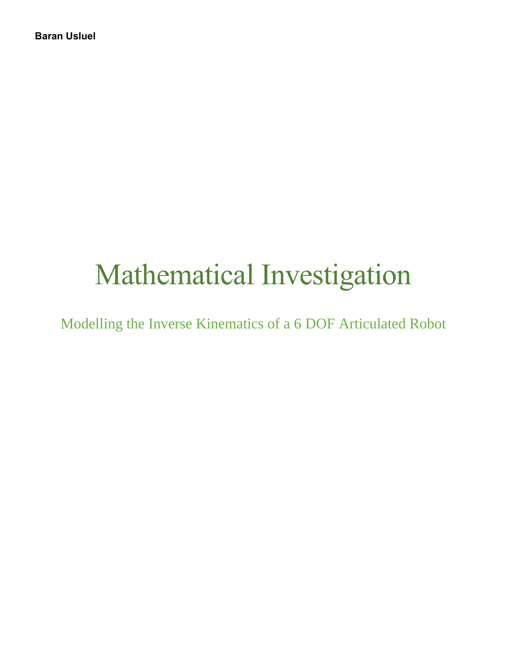# Mathematical Investigation

Modelling the Inverse Kinematics of a 6 DOF Articulated Robot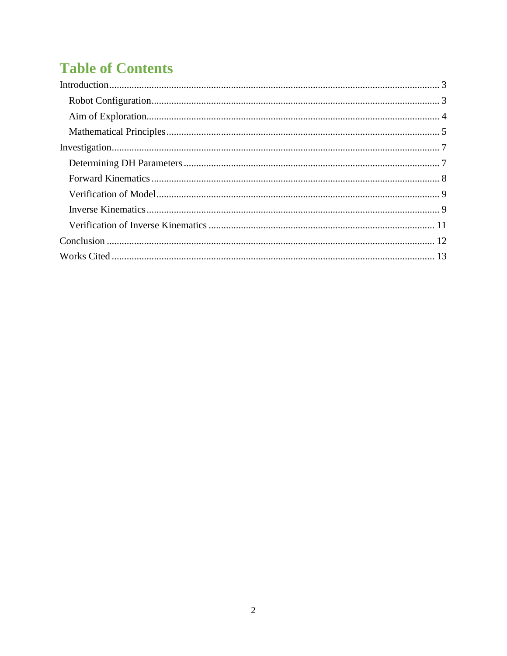## **Table of Contents**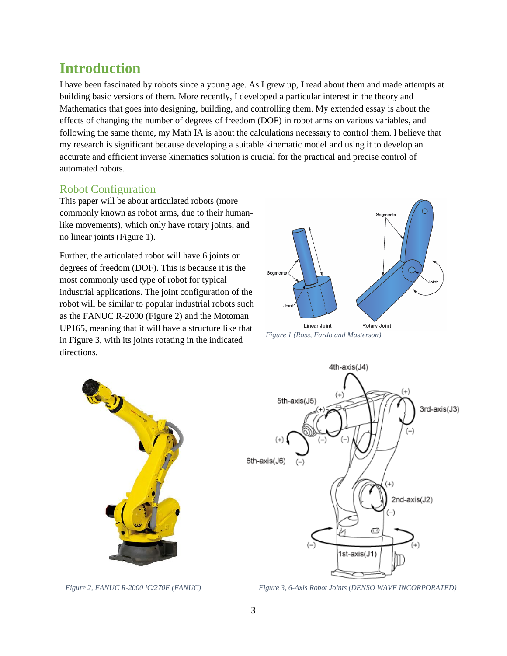## <span id="page-2-0"></span>**Introduction**

I have been fascinated by robots since a young age. As I grew up, I read about them and made attempts at building basic versions of them. More recently, I developed a particular interest in the theory and Mathematics that goes into designing, building, and controlling them. My extended essay is about the effects of changing the number of degrees of freedom (DOF) in robot arms on various variables, and following the same theme, my Math IA is about the calculations necessary to control them. I believe that my research is significant because developing a suitable kinematic model and using it to develop an accurate and efficient inverse kinematics solution is crucial for the practical and precise control of automated robots.

#### <span id="page-2-1"></span>Robot Configuration

This paper will be about articulated robots (more commonly known as robot arms, due to their humanlike movements), which only have rotary joints, and no linear joints (Figure 1).

Further, the articulated robot will have 6 joints or degrees of freedom (DOF). This is because it is the most commonly used type of robot for typical industrial applications. The joint configuration of the robot will be similar to popular industrial robots such as the FANUC R-2000 (Figure 2) and the Motoman UP165, meaning that it will have a structure like that in Figure 3, with its joints rotating in the indicated directions.



*Figure 1 (Ross, Fardo and Masterson)*





*Figure 2, FANUC R-2000 iC/270F (FANUC) Figure 3, 6-Axis Robot Joints (DENSO WAVE INCORPORATED)*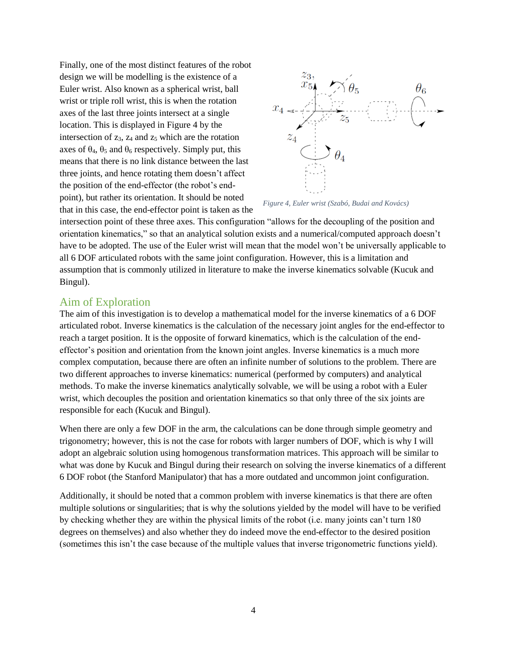Finally, one of the most distinct features of the robot design we will be modelling is the existence of a Euler wrist. Also known as a spherical wrist, ball wrist or triple roll wrist, this is when the rotation axes of the last three joints intersect at a single location. This is displayed in Figure 4 by the intersection of  $z_3$ ,  $z_4$  and  $z_5$  which are the rotation axes of  $\theta_4$ ,  $\theta_5$  and  $\theta_6$  respectively. Simply put, this means that there is no link distance between the last three joints, and hence rotating them doesn't affect the position of the end-effector (the robot's endpoint), but rather its orientation. It should be noted that in this case, the end-effector point is taken as the



*Figure 4, Euler wrist (Szabó, Budai and Kovács)*

intersection point of these three axes. This configuration "allows for the decoupling of the position and orientation kinematics," so that an analytical solution exists and a numerical/computed approach doesn't have to be adopted. The use of the Euler wrist will mean that the model won't be universally applicable to all 6 DOF articulated robots with the same joint configuration. However, this is a limitation and assumption that is commonly utilized in literature to make the inverse kinematics solvable (Kucuk and Bingul).

#### <span id="page-3-0"></span>Aim of Exploration

The aim of this investigation is to develop a mathematical model for the inverse kinematics of a 6 DOF articulated robot. Inverse kinematics is the calculation of the necessary joint angles for the end-effector to reach a target position. It is the opposite of forward kinematics, which is the calculation of the endeffector's position and orientation from the known joint angles. Inverse kinematics is a much more complex computation, because there are often an infinite number of solutions to the problem. There are two different approaches to inverse kinematics: numerical (performed by computers) and analytical methods. To make the inverse kinematics analytically solvable, we will be using a robot with a Euler wrist, which decouples the position and orientation kinematics so that only three of the six joints are responsible for each (Kucuk and Bingul).

When there are only a few DOF in the arm, the calculations can be done through simple geometry and trigonometry; however, this is not the case for robots with larger numbers of DOF, which is why I will adopt an algebraic solution using homogenous transformation matrices. This approach will be similar to what was done by Kucuk and Bingul during their research on solving the inverse kinematics of a different 6 DOF robot (the Stanford Manipulator) that has a more outdated and uncommon joint configuration.

Additionally, it should be noted that a common problem with inverse kinematics is that there are often multiple solutions or singularities; that is why the solutions yielded by the model will have to be verified by checking whether they are within the physical limits of the robot (i.e. many joints can't turn 180 degrees on themselves) and also whether they do indeed move the end-effector to the desired position (sometimes this isn't the case because of the multiple values that inverse trigonometric functions yield).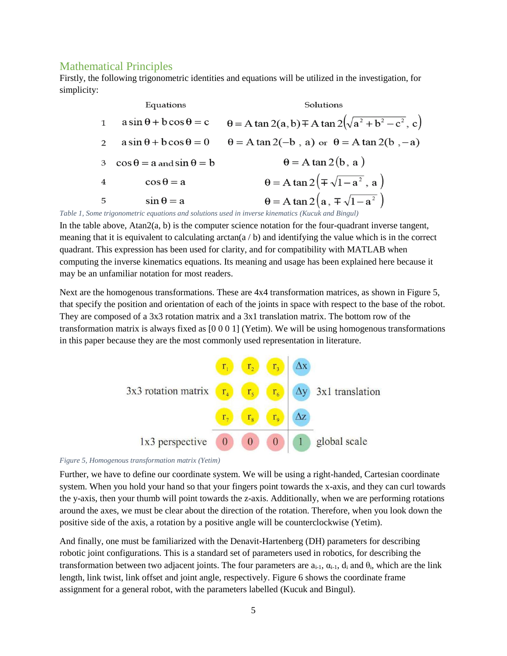#### <span id="page-4-0"></span>Mathematical Principles

Firstly, the following trigonometric identities and equations will be utilized in the investigation, for simplicity:

|                | Equations                               | Solutions                                                         |  |  |
|----------------|-----------------------------------------|-------------------------------------------------------------------|--|--|
| 1              | $a\sin\theta + b\cos\theta = c$         | $\theta = A \tan 2(a, b) \pm A \tan 2(\sqrt{a^2 + b^2 - c^2}, c)$ |  |  |
| $\mathcal{P}$  | $a\sin\theta + b\cos\theta = 0$         | $\theta = A \tan 2(-b, a)$ or $\theta = A \tan 2(b, -a)$          |  |  |
| 3              | $\cos \theta = a$ and $\sin \theta = b$ | $\theta$ = A tan 2(b, a)                                          |  |  |
| $\overline{4}$ | $\cos \theta = a$                       | $\theta = A \tan 2(\pm \sqrt{1-a^2}, a)$                          |  |  |
| - 5            | $\sin \theta = a$                       | $\theta = A \tan 2(a, \pm \sqrt{1-a^2})$                          |  |  |

*Table 1, Some trigonometric equations and solutions used in inverse kinematics (Kucuk and Bingul)*

In the table above, Atan2(a, b) is the computer science notation for the four-quadrant inverse tangent, meaning that it is equivalent to calculating arctan( $a / b$ ) and identifying the value which is in the correct quadrant. This expression has been used for clarity, and for compatibility with MATLAB when computing the inverse kinematics equations. Its meaning and usage has been explained here because it may be an unfamiliar notation for most readers.

Next are the homogenous transformations. These are 4x4 transformation matrices, as shown in Figure 5, that specify the position and orientation of each of the joints in space with respect to the base of the robot. They are composed of a 3x3 rotation matrix and a 3x1 translation matrix. The bottom row of the transformation matrix is always fixed as [0 0 0 1] (Yetim). We will be using homogenous transformations in this paper because they are the most commonly used representation in literature.



#### *Figure 5, Homogenous transformation matrix (Yetim)*

Further, we have to define our coordinate system. We will be using a right-handed, Cartesian coordinate system. When you hold your hand so that your fingers point towards the x-axis, and they can curl towards the y-axis, then your thumb will point towards the z-axis. Additionally, when we are performing rotations around the axes, we must be clear about the direction of the rotation. Therefore, when you look down the positive side of the axis, a rotation by a positive angle will be counterclockwise (Yetim).

And finally, one must be familiarized with the Denavit-Hartenberg (DH) parameters for describing robotic joint configurations. This is a standard set of parameters used in robotics, for describing the transformation between two adjacent joints. The four parameters are  $a_{i-1}$ ,  $a_{i-1}$ ,  $d_i$  and  $\theta_i$ , which are the link length, link twist, link offset and joint angle, respectively. Figure 6 shows the coordinate frame assignment for a general robot, with the parameters labelled (Kucuk and Bingul).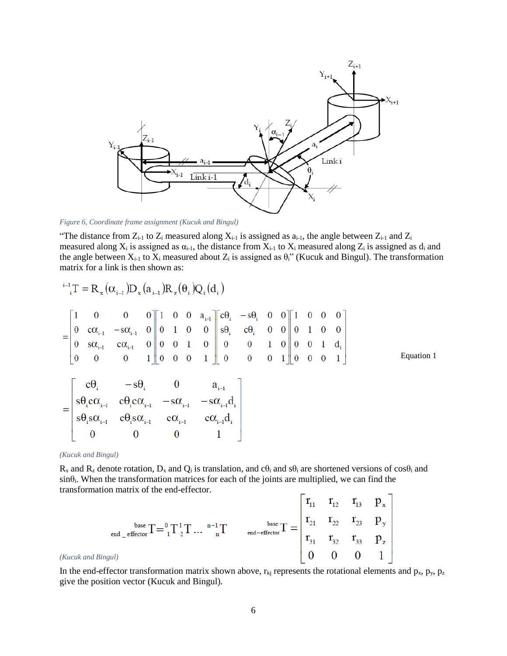

*Figure 6, Coordinate frame assignment (Kucuk and Bingul)*

"The distance from  $Z_{i-1}$  to  $Z_i$  measured along  $X_{i-1}$  is assigned as  $a_{i-1}$ , the angle between  $Z_{i-1}$  and  $Z_i$ measured along  $X_i$  is assigned as  $\alpha_{i-1}$ , the distance from  $X_{i-1}$  to  $X_i$  measured along  $Z_i$  is assigned as  $d_i$  and the angle between  $X_{i-1}$  to  $X_i$  measured about  $Z_i$  is assigned as  $\theta_i$ " (Kucuk and Bingul). The transformation matrix for a link is then shown as:

Equation 1

*(Kucuk and Bingul)*

 $R_x$  and  $R_z$  denote rotation,  $D_x$  and  $Q_i$  is translation, and  $c\theta_i$  and  $s\theta_i$  are shortened versions of  $cos\theta_i$  and  $sin\theta$ . When the transformation matrices for each of the joints are multiplied, we can find the transformation matrix of the end-effector.

$$
P_{\text{end}} = \frac{\text{base}}{\text{effector}} \left[ T = \frac{0}{1} \right] \left[ T \right] \left[ T \right] \left[ T \right] \qquad \text{and} \quad \text{base} \left[ T = \begin{vmatrix} r_{11} & r_{12} & r_{13} & p_x \\ r_{21} & r_{22} & r_{23} & p_y \\ r_{31} & r_{32} & r_{33} & p_z \\ 0 & 0 & 0 & 1 \end{vmatrix}
$$

In the end-effector transformation matrix shown above,  $r_{kj}$  represents the rotational elements and  $p_x$ ,  $p_y$ ,  $p_z$ give the position vector (Kucuk and Bingul).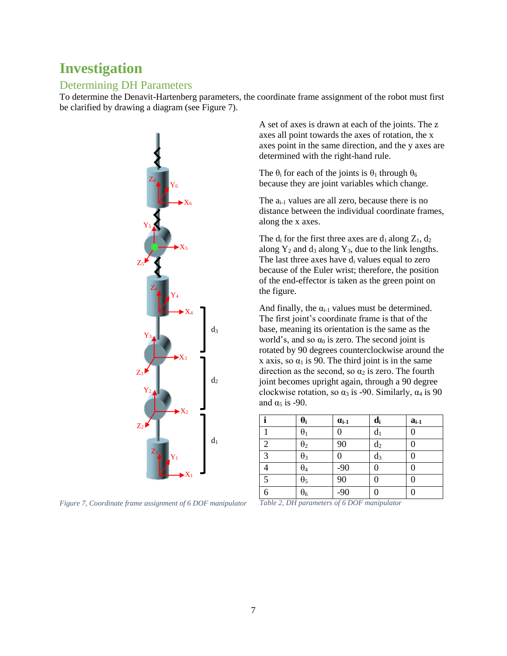## <span id="page-6-0"></span>**Investigation**

#### <span id="page-6-1"></span>Determining DH Parameters

To determine the Denavit-Hartenberg parameters, the coordinate frame assignment of the robot must first be clarified by drawing a diagram (see Figure 7).



*Figure 7, Coordinate frame assignment of 6 DOF manipulator*

A set of axes is drawn at each of the joints. The z axes all point towards the axes of rotation, the x axes point in the same direction, and the y axes are determined with the right-hand rule.

The  $\theta_i$  for each of the joints is  $\theta_1$  through  $\theta_6$ because they are joint variables which change.

The  $a_{i-1}$  values are all zero, because there is no distance between the individual coordinate frames, along the x axes.

The  $d_i$  for the first three axes are  $d_1$  along  $Z_1$ ,  $d_2$ along  $Y_2$  and  $d_3$  along  $Y_3$ , due to the link lengths. The last three axes have d<sup>i</sup> values equal to zero because of the Euler wrist; therefore, the position of the end-effector is taken as the green point on the figure.

And finally, the  $\alpha_{i-1}$  values must be determined. The first joint's coordinate frame is that of the base, meaning its orientation is the same as the world's, and so  $\alpha_0$  is zero. The second joint is rotated by 90 degrees counterclockwise around the x axis, so  $\alpha_1$  is 90. The third joint is in the same direction as the second, so  $\alpha_2$  is zero. The fourth joint becomes upright again, through a 90 degree clockwise rotation, so  $\alpha_3$  is -90. Similarly,  $\alpha_4$  is 90 and  $\alpha_5$  is -90.

|   | $\theta_i$ | $\alpha_{i-1}$ | $\mathbf{d}_{\mathbf{i}}$ | $a_{i-1}$ |
|---|------------|----------------|---------------------------|-----------|
|   | $\theta_1$ |                | d <sub>1</sub>            |           |
| 2 | $\theta_2$ | 90             | d <sub>2</sub>            |           |
| 3 | $\theta_3$ |                | $d_3$                     |           |
|   | $\theta_4$ | $-90$          | 0                         |           |
| 5 | $\theta_5$ | 90             | 0                         |           |
| 6 | $\theta_6$ | $-90$          |                           |           |

*Table 2, DH parameters of 6 DOF manipulator*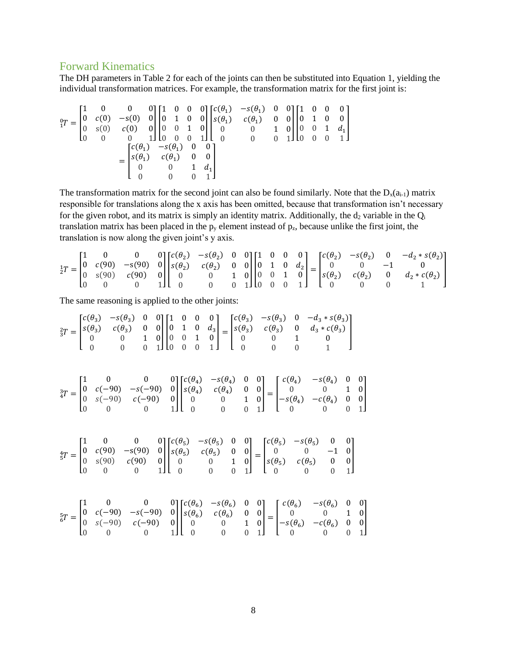#### <span id="page-7-0"></span>Forward Kinematics

The DH parameters in Table 2 for each of the joints can then be substituted into Equation 1, yielding the individual transformation matrices. For example, the transformation matrix for the first joint is:

$$
{}_{1}^{0}T = \begin{bmatrix} 1 & 0 & 0 & 0 \\ 0 & c(0) & -s(0) & 0 \\ 0 & s(0) & c(0) & 0 \\ 0 & 0 & 0 & 1 \end{bmatrix} \begin{bmatrix} 1 & 0 & 0 & 0 \\ 0 & 1 & 0 & 0 \\ 0 & 0 & 1 & 0 \\ 0 & 0 & 0 & 1 \end{bmatrix} \begin{bmatrix} c(\theta_{1}) & -s(\theta_{1}) & 0 & 0 \\ s(\theta_{1}) & c(\theta_{1}) & 0 & 0 \\ 0 & 0 & 1 & 0 \\ 0 & 0 & 0 & 1 \end{bmatrix} \begin{bmatrix} 1 & 0 & 0 & 0 \\ 0 & 1 & 0 & 0 \\ 0 & 0 & 1 & d_{1} \\ 0 & 0 & 0 & 1 \end{bmatrix}
$$

$$
= \begin{bmatrix} c(\theta_{1}) & -s(\theta_{1}) & 0 & 0 \\ s(\theta_{1}) & c(\theta_{1}) & 0 & 0 \\ 0 & 0 & 1 & d_{1} \\ 0 & 0 & 0 & 1 \end{bmatrix}
$$

The transformation matrix for the second joint can also be found similarly. Note that the  $D_x(a_{i-1})$  matrix responsible for translations along the x axis has been omitted, because that transformation isn't necessary for the given robot, and its matrix is simply an identity matrix. Additionally, the  $d_2$  variable in the  $Q_i$ translation matrix has been placed in the  $p_y$  element instead of  $p_z$ , because unlike the first joint, the translation is now along the given joint's y axis.

$$
\frac{1}{2}T = \begin{bmatrix} 1 & 0 & 0 & 0 \\ 0 & c(90) & -s(90) & 0 \\ 0 & s(90) & c(90) & 0 \\ 0 & 0 & 0 & 1 \end{bmatrix} \begin{bmatrix} c(\theta_2) & -s(\theta_2) & 0 & 0 \\ s(\theta_2) & c(\theta_2) & 0 & 0 \\ 0 & 0 & 1 & 0 \\ 0 & 0 & 0 & 1 \end{bmatrix} \begin{bmatrix} 1 & 0 & 0 & 0 \\ 0 & 1 & 0 & d_2 \\ 0 & 0 & 1 & 0 \\ 0 & 0 & 0 & 1 \end{bmatrix} = \begin{bmatrix} c(\theta_2) & -s(\theta_2) & 0 & -d_2 * s(\theta_2) \\ 0 & 0 & -1 & 0 \\ s(\theta_2) & c(\theta_2) & 0 & d_2 * c(\theta_2) \\ 0 & 0 & 0 & 1 \end{bmatrix}
$$

The same reasoning is applied to the other joints:

$$
\frac{2}{3}T = \begin{bmatrix} c(\theta_3) & -s(\theta_3) & 0 & 0 \\ s(\theta_3) & c(\theta_3) & 0 & 0 \\ 0 & 0 & 1 & 0 \\ 0 & 0 & 0 & 1 \end{bmatrix} \begin{bmatrix} 1 & 0 & 0 & 0 \\ 0 & 1 & 0 & d_3 \\ 0 & 0 & 1 & 0 \\ 0 & 0 & 0 & 1 \end{bmatrix} = \begin{bmatrix} c(\theta_3) & -s(\theta_3) & 0 & -d_3 * s(\theta_3) \\ s(\theta_3) & c(\theta_3) & 0 & d_3 * c(\theta_3) \\ 0 & 0 & 1 & 0 \\ 0 & 0 & 0 & 1 \end{bmatrix}
$$

$$
\frac{3}{4}T = \begin{bmatrix} 1 & 0 & 0 & 0 \\ 0 & c(-90) & -s(-90) & 0 \\ 0 & s(-90) & c(-90) & 0 \\ 0 & 0 & 0 & 1 \end{bmatrix} \begin{bmatrix} c(\theta_4) & -s(\theta_4) & 0 & 0 \\ s(\theta_4) & c(\theta_4) & 0 & 0 \\ 0 & 0 & 1 & 0 \\ 0 & 0 & 0 & 1 \end{bmatrix} = \begin{bmatrix} c(\theta_4) & -s(\theta_4) & 0 & 0 \\ 0 & 0 & 1 & 0 \\ -s(\theta_4) & -c(\theta_4) & 0 & 0 \\ 0 & 0 & 0 & 1 \end{bmatrix}
$$

$$
\frac{4}{5}T = \begin{bmatrix} 1 & 0 & 0 & 0 \\ 0 & c(90) & -s(90) & 0 \\ 0 & s(90) & c(90) & 0 \\ 0 & 0 & 0 & 1 \end{bmatrix} \begin{bmatrix} c(\theta_5) & -s(\theta_5) & 0 & 0 \\ s(\theta_5) & c(\theta_5) & 0 & 0 \\ 0 & 0 & 1 & 0 \\ 0 & 0 & 0 & 1 \end{bmatrix} = \begin{bmatrix} c(\theta_5) & -s(\theta_5) & 0 & 0 \\ s(\theta_5) & c(\theta_5) & 0 & 0 \\ s(\theta_5) & c(\theta_5) & 0 & 0 \\ 0 & 0 & 0 & 1 \end{bmatrix}
$$

$$
\frac{5}{6}T = \begin{bmatrix} 1 & 0 & 0 &
$$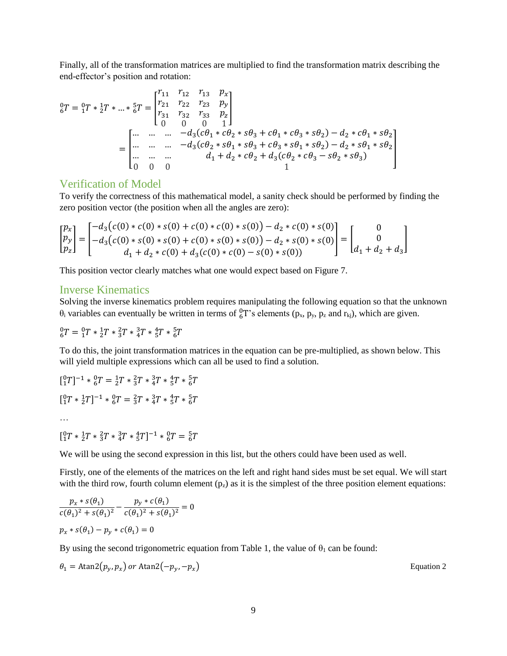Finally, all of the transformation matrices are multiplied to find the transformation matrix describing the end-effector's position and rotation:

$$
{}_{6}^{0}T = {}_{1}^{0}T * {}_{2}^{1}T * ... * {}_{6}^{5}T = \begin{bmatrix} r_{11} & r_{12} & r_{13} & p_{x} \\ r_{21} & r_{22} & r_{23} & p_{y} \\ r_{31} & r_{32} & r_{33} & p_{z} \\ 0 & 0 & 0 & 1 \end{bmatrix}
$$
  
= 
$$
\begin{bmatrix} ... & ... & ... & -d_{3}(c\theta_{1} * c\theta_{2} * s\theta_{3} + c\theta_{1} * c\theta_{3} * s\theta_{2}) - d_{2} * c\theta_{1} * s\theta_{2} \\ ... & ... & ... & -d_{3}(c\theta_{2} * s\theta_{1} * s\theta_{3} + c\theta_{3} * s\theta_{1} * s\theta_{2}) - d_{2} * s\theta_{1} * s\theta_{2} \\ ... & ... & ... & d_{1} + d_{2} * c\theta_{2} + d_{3}(c\theta_{2} * c\theta_{3} - s\theta_{2} * s\theta_{3}) \end{bmatrix}
$$

#### <span id="page-8-0"></span>Verification of Model

To verify the correctness of this mathematical model, a sanity check should be performed by finding the zero position vector (the position when all the angles are zero):

$$
\begin{bmatrix} p_x \\ p_y \\ p_z \end{bmatrix} = \begin{bmatrix} -d_3(c(0) * c(0) * s(0) + c(0) * c(0) * s(0)) - d_2 * c(0) * s(0) \\ -d_3(c(0) * s(0) * s(0) + c(0) * s(0) * s(0)) - d_2 * s(0) * s(0) \\ d_1 + d_2 * c(0) + d_3(c(0) * c(0) - s(0) * s(0)) \end{bmatrix} = \begin{bmatrix} 0 \\ 0 \\ d_1 + d_2 + d_3 \end{bmatrix}
$$

This position vector clearly matches what one would expect based on Figure 7.

#### <span id="page-8-1"></span>Inverse Kinematics

Solving the inverse kinematics problem requires manipulating the following equation so that the unknown  $\theta_i$  variables can eventually be written in terms of  ${}^0_6T$ 's elements (p<sub>x</sub>, p<sub>y</sub>, p<sub>z</sub> and r<sub>kj</sub>), which are given.

$$
{}^{0}_{6}T = {}^{0}_{1}T * {}^{1}_{2}T * {}^{2}_{3}T * {}^{3}_{4}T * {}^{4}_{5}T * {}^{5}_{6}T
$$

To do this, the joint transformation matrices in the equation can be pre-multiplied, as shown below. This will yield multiple expressions which can all be used to find a solution.

$$
[{}_1^0T]^{-1} * {}_6^0T = {}_2^1T * {}_3^2T * {}_4^3T * {}_5^4T * {}_6^5T
$$
  

$$
[{}_1^0T * {}_2^1T]^{-1} * {}_6^0T = {}_3^2T * {}_4^3T * {}_5^4T * {}_6^5T
$$
  
...  

$$
[{}_1^0T * {}_2^1T * {}_3^2T * {}_4^3T * {}_5^4T]^{-1} * {}_6^0T = {}_6^5T
$$

We will be using the second expression in this list, but the others could have been used as well.

Firstly, one of the elements of the matrices on the left and right hand sides must be set equal. We will start with the third row, fourth column element  $(p_z)$  as it is the simplest of the three position element equations:

$$
\frac{p_x * s(\theta_1)}{c(\theta_1)^2 + s(\theta_1)^2} - \frac{p_y * c(\theta_1)}{c(\theta_1)^2 + s(\theta_1)^2} = 0
$$
  

$$
p_x * s(\theta_1) - p_y * c(\theta_1) = 0
$$

By using the second trigonometric equation from Table 1, the value of  $\theta_1$  can be found:

$$
\theta_1 = \text{Atan2}(p_y, p_x) \text{ or } \text{Atan2}(-p_y, -p_x) \tag{Equation 2}
$$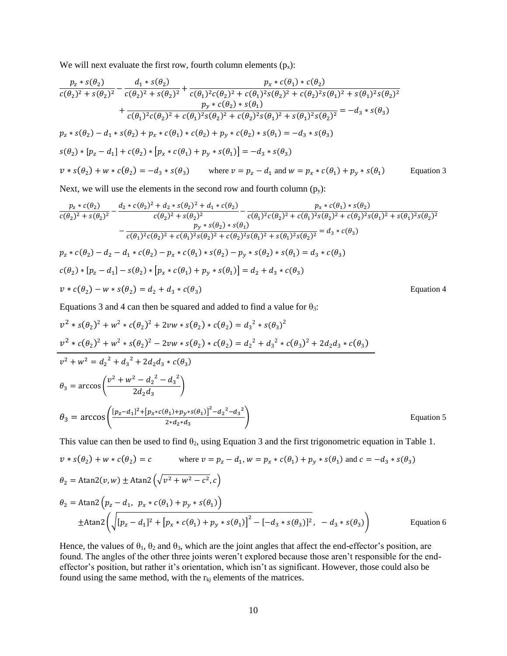We will next evaluate the first row, fourth column elements  $(p_x)$ :

$$
\frac{p_z * s(\theta_2)}{c(\theta_2)^2 + s(\theta_2)^2} - \frac{d_1 * s(\theta_2)}{c(\theta_2)^2 + s(\theta_2)^2} + \frac{p_x * c(\theta_1) * c(\theta_2)}{c(\theta_1)^2 c(\theta_2)^2 + c(\theta_1)^2 s(\theta_2)^2 + c(\theta_2)^2 s(\theta_1)^2 + s(\theta_1)^2 s(\theta_2)^2}
$$
  
+ 
$$
\frac{p_y * c(\theta_2) * s(\theta_1)}{c(\theta_1)^2 c(\theta_2)^2 + c(\theta_1)^2 s(\theta_2)^2 + c(\theta_2)^2 s(\theta_1)^2 + s(\theta_1)^2 s(\theta_2)^2} = -d_3 * s(\theta_3)
$$
  

$$
p_z * s(\theta_2) - d_1 * s(\theta_2) + p_x * c(\theta_1) * c(\theta_2) + p_y * c(\theta_2) * s(\theta_1) = -d_3 * s(\theta_3)
$$
  

$$
s(\theta_2) * [p_z - d_1] + c(\theta_2) * [p_x * c(\theta_1) + p_y * s(\theta_1)] = -d_3 * s(\theta_3)
$$
  

$$
v * s(\theta_2) + w * c(\theta_2) = -d_3 * s(\theta_3) \qquad \text{where } v = p_z - d_1 \text{ and } w = p_x * c(\theta_1) + p_y * s(\theta_1) \qquad \text{Equation 3}
$$

Next, we will use the elements in the second row and fourth column  $(p_y)$ :

$$
\frac{p_z * c(\theta_2)}{c(\theta_2)^2 + s(\theta_2)^2} - \frac{d_2 * c(\theta_2)^2 + d_2 * s(\theta_2)^2 + d_1 * c(\theta_2)}{c(\theta_2)^2 + s(\theta_2)^2} - \frac{p_x * c(\theta_1) * s(\theta_2)}{c(\theta_1)^2 c(\theta_2)^2 + c(\theta_1)^2 s(\theta_2)^2 + c(\theta_2)^2 s(\theta_1)^2 + s(\theta_1)^2 s(\theta_2)^2}
$$
\n
$$
- \frac{p_y * s(\theta_2) * s(\theta_1)}{c(\theta_1)^2 c(\theta_2)^2 + c(\theta_1)^2 s(\theta_2)^2 + c(\theta_2)^2 s(\theta_1)^2 + s(\theta_1)^2 s(\theta_2)^2} = d_3 * c(\theta_3)
$$
\n
$$
p_z * c(\theta_2) - d_2 - d_1 * c(\theta_2) - p_x * c(\theta_1) * s(\theta_2) - p_y * s(\theta_2) * s(\theta_1) = d_3 * c(\theta_3)
$$
\n
$$
c(\theta_2) * [p_z - d_1] - s(\theta_2) * [p_x * c(\theta_1) + p_y * s(\theta_1)] = d_2 + d_3 * c(\theta_3)
$$
\n
$$
v * c(\theta_2) - w * s(\theta_2) = d_2 + d_3 * c(\theta_3)
$$
\nEquation 4

Equations 3 and 4 can then be squared and added to find a value for  $\theta_3$ :

$$
v^{2} * s(\theta_{2})^{2} + w^{2} * c(\theta_{2})^{2} + 2vw * s(\theta_{2}) * c(\theta_{2}) = d_{3}^{2} * s(\theta_{3})^{2}
$$
  
\n
$$
v^{2} * c(\theta_{2})^{2} + w^{2} * s(\theta_{2})^{2} - 2vw * s(\theta_{2}) * c(\theta_{2}) = d_{2}^{2} + d_{3}^{2} * c(\theta_{3})^{2} + 2d_{2}d_{3} * c(\theta_{3})
$$
  
\n
$$
v^{2} + w^{2} = d_{2}^{2} + d_{3}^{2} + 2d_{2}d_{3} * c(\theta_{3})
$$
  
\n
$$
\theta_{3} = \arccos\left(\frac{v^{2} + w^{2} - d_{2}^{2} - d_{3}^{2}}{2d_{2}d_{3}}\right)
$$
  
\n
$$
\theta_{3} = \arccos\left(\frac{[p_{z} - d_{1}]^{2} + [p_{x} * c(\theta_{1}) + p_{y} * s(\theta_{1})]^{2} - d_{2}^{2} - d_{3}^{2}}{2*d_{2} * d_{3}}\right)
$$
  
\nEquation 5

This value can then be used to find  $\theta_2$ , using Equation 3 and the first trigonometric equation in Table 1.

$$
v * s(\theta_2) + w * c(\theta_2) = c \qquad \text{where } v = p_z - d_1, w = p_x * c(\theta_1) + p_y * s(\theta_1) \text{ and } c = -d_3 * s(\theta_3)
$$
  
\n
$$
\theta_2 = \text{Atan2}(v, w) \pm \text{Atan2}\left(\sqrt{v^2 + w^2 - c^2}, c\right)
$$
  
\n
$$
\theta_2 = \text{Atan2}\left(p_z - d_1, p_x * c(\theta_1) + p_y * s(\theta_1)\right)
$$
  
\n
$$
\pm \text{Atan2}\left(\sqrt{[p_z - d_1]^2 + [p_x * c(\theta_1) + p_y * s(\theta_1)]^2 - [-d_3 * s(\theta_3)]^2}, -d_3 * s(\theta_3)\right)
$$
  
\nEquation 6

Hence, the values of  $\theta_1$ ,  $\theta_2$  and  $\theta_3$ , which are the joint angles that affect the end-effector's position, are found. The angles of the other three joints weren't explored because those aren't responsible for the endeffector's position, but rather it's orientation, which isn't as significant. However, those could also be found using the same method, with the  $r_{ki}$  elements of the matrices.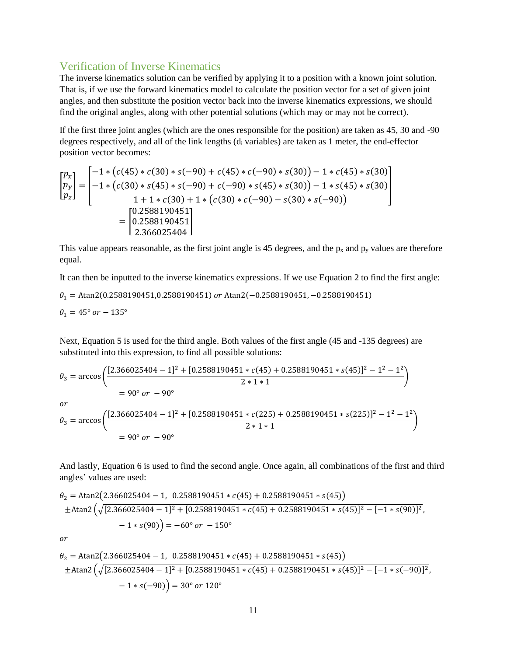#### <span id="page-10-0"></span>Verification of Inverse Kinematics

The inverse kinematics solution can be verified by applying it to a position with a known joint solution. That is, if we use the forward kinematics model to calculate the position vector for a set of given joint angles, and then substitute the position vector back into the inverse kinematics expressions, we should find the original angles, along with other potential solutions (which may or may not be correct).

If the first three joint angles (which are the ones responsible for the position) are taken as 45, 30 and -90 degrees respectively, and all of the link lengths  $(d<sub>i</sub>$  variables) are taken as 1 meter, the end-effector position vector becomes:

$$
\begin{bmatrix} p_x \\ p_y \\ p_z \end{bmatrix} = \begin{bmatrix} -1 * (c(45) * c(30) * s(-90) + c(45) * c(-90) * s(30)) - 1 * c(45) * s(30) \\ -1 * (c(30) * s(45) * s(-90) + c(-90) * s(45) * s(30)) - 1 * s(45) * s(30) \\ 1 + 1 * c(30) + 1 * (c(30) * c(-90) - s(30) * s(-90)) \end{bmatrix} = \begin{bmatrix} 0.2588190451 \\ 0.2588190451 \\ 2.366025404 \end{bmatrix}
$$

This value appears reasonable, as the first joint angle is 45 degrees, and the  $p_x$  and  $p_y$  values are therefore equal.

It can then be inputted to the inverse kinematics expressions. If we use Equation 2 to find the first angle:  $\theta_1 =$ Atan2(0.2588190451,0.2588190451) or Atan2(-0.2588190451, -0.2588190451)  $\theta_1 = 45^\circ \text{ or } -135^\circ$ 

Next, Equation 5 is used for the third angle. Both values of the first angle (45 and -135 degrees) are substituted into this expression, to find all possible solutions:

$$
\theta_3 = \arccos\left(\frac{[2.366025404 - 1]^2 + [0.2588190451 * c(45) + 0.2588190451 * s(45)]^2 - 1^2 - 1^2}{2 * 1 * 1}\right)
$$
  
= 90° or - 90°  
or  

$$
\theta_3 = \arccos\left(\frac{[2.366025404 - 1]^2 + [0.2588190451 * c(225) + 0.2588190451 * s(225)]^2 - 1^2 - 1^2}{2 * 1 * 1}\right)
$$
  
= 90° or - 90°

And lastly, Equation 6 is used to find the second angle. Once again, all combinations of the first and third angles' values are used:

$$
\theta_2 = \text{Atan2}(2.366025404 - 1, \quad 0.2588190451 * c(45) + 0.2588190451 * s(45))
$$
  
\n
$$
\pm \text{Atan2}\left(\sqrt{[2.366025404 - 1]^2 + [0.2588190451 * c(45) + 0.2588190451 * s(45)]^2 - [-1 * s(90)]^2}, -1 * s(90)\right) = -60^\circ \text{ or } -150^\circ
$$

 $\overline{or}$ 

$$
\theta_2 = \text{Atan2}(2.366025404 - 1, \quad 0.2588190451 \times c(45) + 0.2588190451 \times s(45))
$$
  
\n
$$
\pm \text{Atan2}\left(\sqrt{[2.366025404 - 1]^2 + [0.2588190451 \times c(45) + 0.2588190451 \times s(45)]^2 - [-1 \times s(-90)]^2}, -1 \times s(-90)\right) = 30^\circ \text{ or } 120^\circ
$$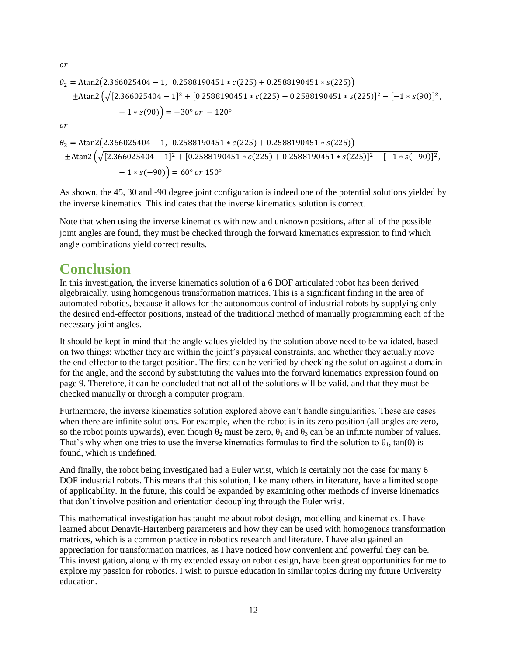$or$ 

$$
\theta_2 = \text{Atan2}(2.366025404 - 1, 0.2588190451 * c(225) + 0.2588190451 * s(225))
$$
  
\n
$$
\pm \text{Atan2}\left(\sqrt{[2.366025404 - 1]^2 + [0.2588190451 * c(225) + 0.2588190451 * s(225)]^2 - [-1 * s(90)]^2}, -1 * s(90)\right) = -30^\circ \text{ or } -120^\circ
$$
  
\nor  
\n
$$
\theta_2 = \text{Atan2}(2.366025404 - 1, 0.2588190451 * c(225) + 0.2588190451 * s(225))
$$
  
\n
$$
\pm \text{Atan2}\left(\sqrt{[2.366025404 - 1]^2 + [0.2588190451 * c(225) + 0.2588190451 * s(225)]^2 - [-1 * s(-90)]^2}, -1 * s(-90)\right) = 60^\circ \text{ or } 150^\circ
$$

As shown, the 45, 30 and -90 degree joint configuration is indeed one of the potential solutions yielded by the inverse kinematics. This indicates that the inverse kinematics solution is correct.

Note that when using the inverse kinematics with new and unknown positions, after all of the possible joint angles are found, they must be checked through the forward kinematics expression to find which angle combinations yield correct results.

### <span id="page-11-0"></span>**Conclusion**

In this investigation, the inverse kinematics solution of a 6 DOF articulated robot has been derived algebraically, using homogenous transformation matrices. This is a significant finding in the area of automated robotics, because it allows for the autonomous control of industrial robots by supplying only the desired end-effector positions, instead of the traditional method of manually programming each of the necessary joint angles.

It should be kept in mind that the angle values yielded by the solution above need to be validated, based on two things: whether they are within the joint's physical constraints, and whether they actually move the end-effector to the target position. The first can be verified by checking the solution against a domain for the angle, and the second by substituting the values into the forward kinematics expression found on page 9. Therefore, it can be concluded that not all of the solutions will be valid, and that they must be checked manually or through a computer program.

Furthermore, the inverse kinematics solution explored above can't handle singularities. These are cases when there are infinite solutions. For example, when the robot is in its zero position (all angles are zero, so the robot points upwards), even though  $\theta_2$  must be zero,  $\theta_1$  and  $\theta_3$  can be an infinite number of values. That's why when one tries to use the inverse kinematics formulas to find the solution to  $\theta_1$ , tan(0) is found, which is undefined.

And finally, the robot being investigated had a Euler wrist, which is certainly not the case for many 6 DOF industrial robots. This means that this solution, like many others in literature, have a limited scope of applicability. In the future, this could be expanded by examining other methods of inverse kinematics that don't involve position and orientation decoupling through the Euler wrist.

This mathematical investigation has taught me about robot design, modelling and kinematics. I have learned about Denavit-Hartenberg parameters and how they can be used with homogenous transformation matrices, which is a common practice in robotics research and literature. I have also gained an appreciation for transformation matrices, as I have noticed how convenient and powerful they can be. This investigation, along with my extended essay on robot design, have been great opportunities for me to explore my passion for robotics. I wish to pursue education in similar topics during my future University education.